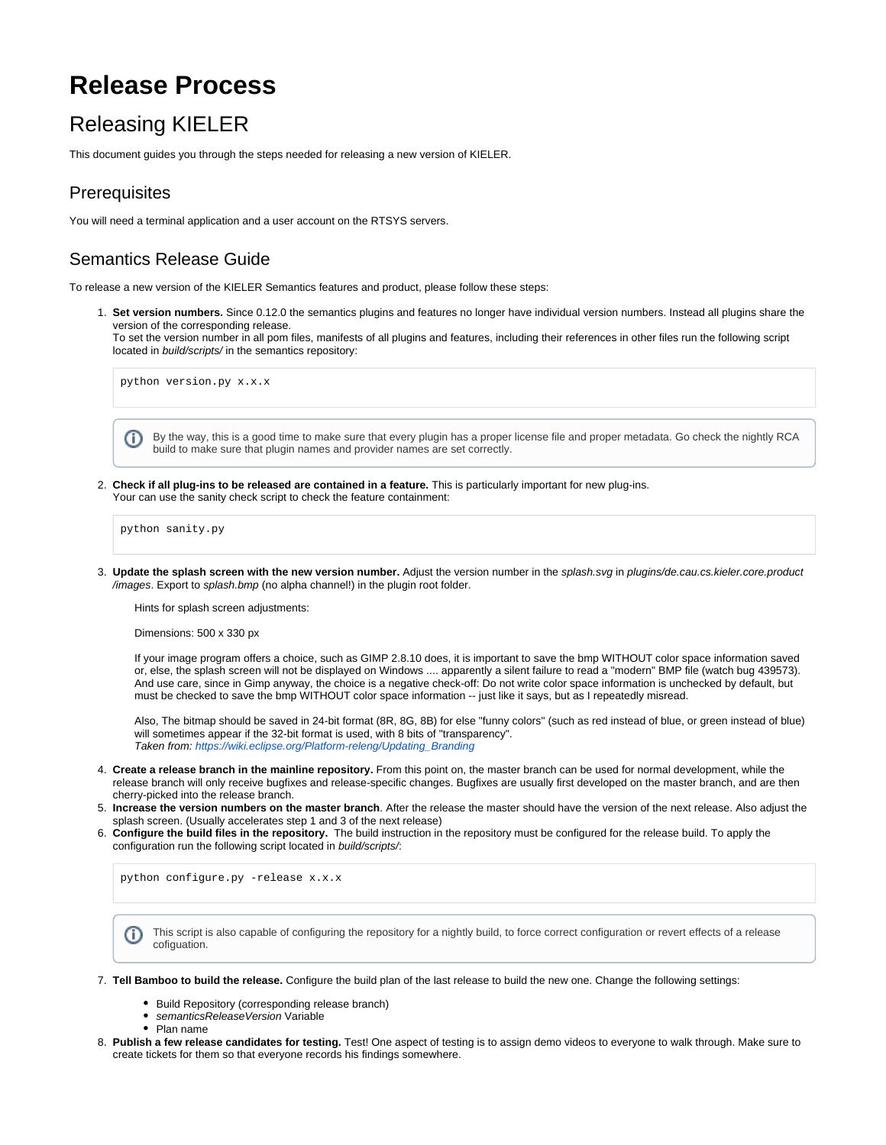# **Release Process**

## Releasing KIELER

This document guides you through the steps needed for releasing a new version of KIELER.

#### **Prerequisites**

You will need a terminal application and a user account on the RTSYS servers.

#### Semantics Release Guide

To release a new version of the KIELER Semantics features and product, please follow these steps:

1. **Set version numbers.** Since 0.12.0 the semantics plugins and features no longer have individual version numbers. Instead all plugins share the version of the corresponding release.

To set the version number in all pom files, manifests of all plugins and features, including their references in other files run the following script located in build/scripts/ in the semantics repository:

python version.py x.x.x

By the way, this is a good time to make sure that every plugin has a proper license file and proper metadata. Go check the nightly RCA O) build to make sure that plugin names and provider names are set correctly.

2. **Check if all plug-ins to be released are contained in a feature.** This is particularly important for new plug-ins. Your can use the sanity check script to check the feature containment:

python sanity.py

3. **Update the splash screen with the new version number.** Adjust the version number in the splash.svg in plugins/de.cau.cs.kieler.core.product /images. Export to splash.bmp (no alpha channel!) in the plugin root folder.

Hints for splash screen adjustments:

Dimensions: 500 x 330 px

If your image program offers a choice, such as GIMP 2.8.10 does, it is important to save the bmp WITHOUT color space information saved or, else, the splash screen will not be displayed on Windows .... apparently a silent failure to read a "modern" BMP file (watch bug 439573). And use care, since in Gimp anyway, the choice is a negative check-off: Do not write color space information is unchecked by default, but must be checked to save the bmp WITHOUT color space information -- just like it says, but as I repeatedly misread.

Also, The bitmap should be saved in 24-bit format (8R, 8G, 8B) for else "funny colors" (such as red instead of blue, or green instead of blue) will sometimes appear if the 32-bit format is used, with 8 bits of "transparency". Taken from: [https://wiki.eclipse.org/Platform-releng/Updating\\_Branding](https://wiki.eclipse.org/Platform-releng/Updating_Branding)

- 4. **Create a release branch in the mainline repository.** From this point on, the master branch can be used for normal development, while the release branch will only receive bugfixes and release-specific changes. Bugfixes are usually first developed on the master branch, and are then cherry-picked into the release branch.
- 5. **Increase the version numbers on the master branch**. After the release the master should have the version of the next release. Also adjust the splash screen. (Usually accelerates step 1 and 3 of the next release)
- 6. **Configure the build files in the repository.** The build instruction in the repository must be configured for the release build. To apply the configuration run the following script located in build/scripts/:

python configure.py -release x.x.x

- This script is also capable of configuring the repository for a nightly build, to force correct configuration or revert effects of a release (i) cofiguation.
- 7. **Tell Bamboo to build the release.** Configure the build plan of the last release to build the new one. Change the following settings:
	- Build Repository (corresponding release branch)
	- semanticsReleaseVersion Variable
	- Plan name
- 8. **Publish a few release candidates for testing.** Test! One aspect of testing is to assign demo videos to everyone to walk through. Make sure to create tickets for them so that everyone records his findings somewhere.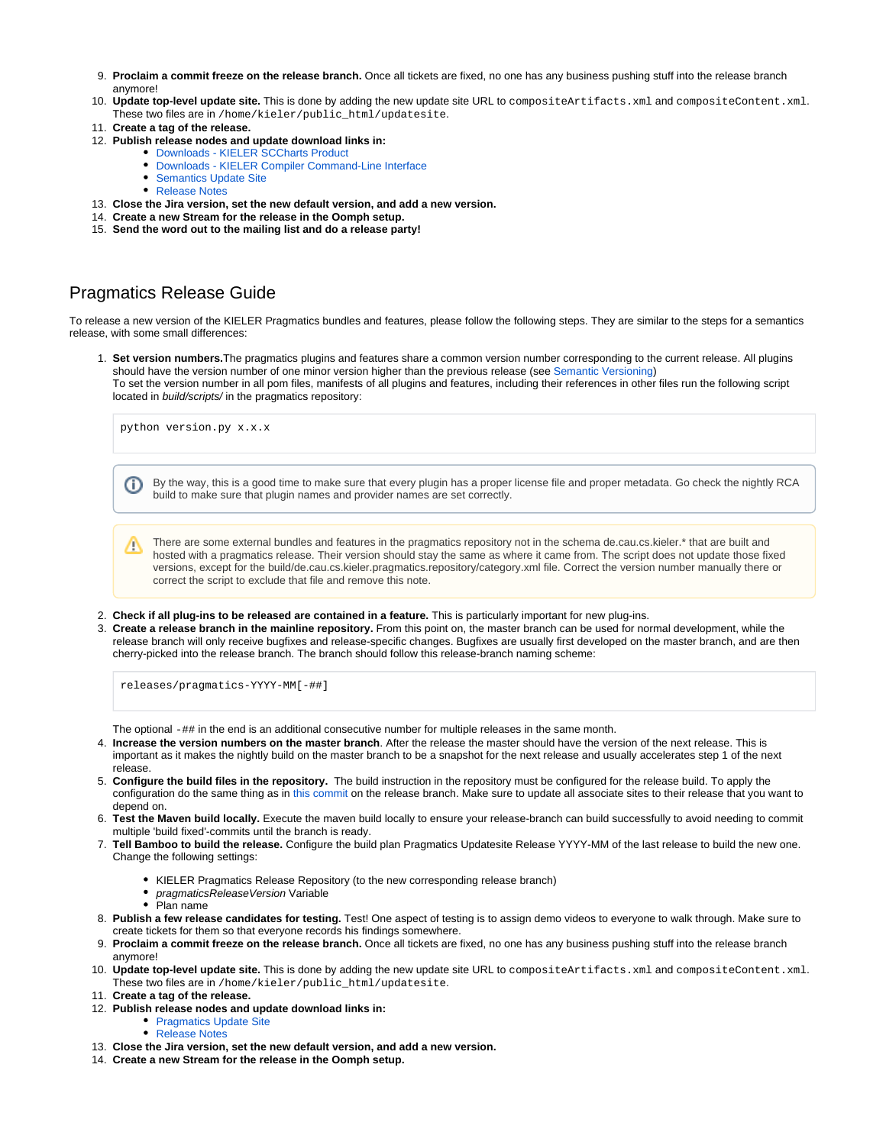- 9. **Proclaim a commit freeze on the release branch.** Once all tickets are fixed, no one has any business pushing stuff into the release branch anymore!
- 10. **Update top-level update site.** This is done by adding the new update site URL to compositeArtifacts.xml and compositeContent.xml. These two files are in /home/kieler/public\_html/updatesite.
- 11. **Create a tag of the release.**
- 12. **Publish release nodes and update download links in:**
	- [Downloads KIELER SCCharts Product](https://rtsys.informatik.uni-kiel.de/confluence/display/KIELER/Downloads+-+KIELER+SCCharts+Product)
	- [Downloads KIELER Compiler Command-Line Interface](https://rtsys.informatik.uni-kiel.de/confluence/display/KIELER/Downloads+-+KIELER+Compiler+Command-Line+Interface)
	- [Semantics Update Site](https://rtsys.informatik.uni-kiel.de/confluence/display/KIELER/Semantics+Update+Site)
	- [Release Notes](https://rtsys.informatik.uni-kiel.de/confluence/display/KIELER/Release+Notes)
- 13. **Close the Jira version, set the new default version, and add a new version.**
- 14. **Create a new Stream for the release in the Oomph setup.**
- 15. **Send the word out to the mailing list and do a release party!**

### Pragmatics Release Guide

To release a new version of the KIELER Pragmatics bundles and features, please follow the following steps. They are similar to the steps for a semantics release, with some small differences:

1. **Set version numbers.**The pragmatics plugins and features share a common version number corresponding to the current release. All plugins should have the version number of one minor version higher than the previous release (see [Semantic Versioning\)](https://semver.org/) To set the version number in all pom files, manifests of all plugins and features, including their references in other files run the following script located in build/scripts/ in the pragmatics repository:

python version.py x.x.x

By the way, this is a good time to make sure that every plugin has a proper license file and proper metadata. Go check the nightly RCA O) build to make sure that plugin names and provider names are set correctly.

There are some external bundles and features in the pragmatics repository not in the schema de.cau.cs.kieler.\* that are built and △ hosted with a pragmatics release. Their version should stay the same as where it came from. The script does not update those fixed versions, except for the build/de.cau.cs.kieler.pragmatics.repository/category.xml file. Correct the version number manually there or correct the script to exclude that file and remove this note.

- 2. **Check if all plug-ins to be released are contained in a feature.** This is particularly important for new plug-ins.
- 3. **Create a release branch in the mainline repository.** From this point on, the master branch can be used for normal development, while the release branch will only receive bugfixes and release-specific changes. Bugfixes are usually first developed on the master branch, and are then cherry-picked into the release branch. The branch should follow this release-branch naming scheme:

releases/pragmatics-YYYY-MM[-##]

The optional -## in the end is an additional consecutive number for multiple releases in the same month.

- 4. **Increase the version numbers on the master branch**. After the release the master should have the version of the next release. This is important as it makes the nightly build on the master branch to be a snapshot for the next release and usually accelerates step 1 of the next release.
- 5. **Configure the build files in the repository.** The build instruction in the repository must be configured for the release build. To apply the configuration do the same thing as in [this commit](https://git.rtsys.informatik.uni-kiel.de/projects/KIELER/repos/pragmatics/commits/a6a64cd71ab7895f800f4642bfeb1b91e9fb5b06) on the release branch. Make sure to update all associate sites to their release that you want to depend on.
- 6. **Test the Maven build locally.** Execute the maven build locally to ensure your release-branch can build successfully to avoid needing to commit multiple 'build fixed'-commits until the branch is ready.
- 7. **Tell Bamboo to build the release.** Configure the build plan Pragmatics Updatesite Release YYYY-MM of the last release to build the new one. Change the following settings:
	- KIELER Pragmatics Release Repository (to the new corresponding release branch)
	- $\bullet$ pragmaticsReleaseVersion Variable
	- Plan name
- 8. **Publish a few release candidates for testing.** Test! One aspect of testing is to assign demo videos to everyone to walk through. Make sure to create tickets for them so that everyone records his findings somewhere.
- 9. **Proclaim a commit freeze on the release branch.** Once all tickets are fixed, no one has any business pushing stuff into the release branch anymore!
- 10. **Update top-level update site.** This is done by adding the new update site URL to compositeArtifacts.xml and compositeContent.xml. These two files are in /home/kieler/public\_html/updatesite.
- 11. **Create a tag of the release.**
- 12. **Publish release nodes and update download links in:**
	- [Pragmatics Update Site](https://rtsys.informatik.uni-kiel.de/confluence/x/aoSQ)
	- [Release Notes](https://rtsys.informatik.uni-kiel.de/confluence/display/KIELER/Release+Notes)
- 13. **Close the Jira version, set the new default version, and add a new version.**
- 14. **Create a new Stream for the release in the Oomph setup.**